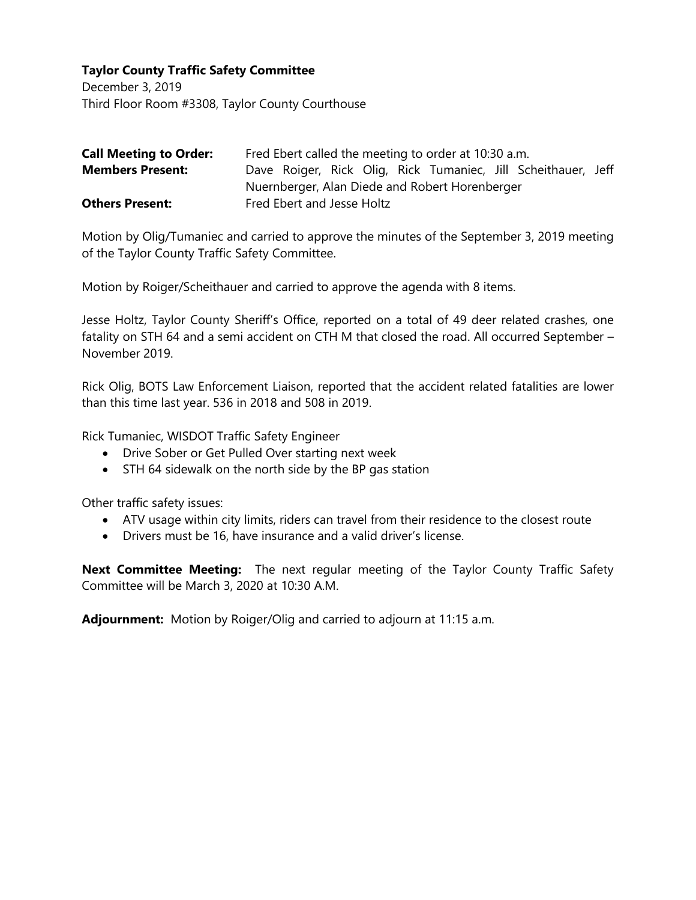December 3, 2019 Third Floor Room #3308, Taylor County Courthouse

| <b>Call Meeting to Order:</b> | Fred Ebert called the meeting to order at 10:30 a.m.          |
|-------------------------------|---------------------------------------------------------------|
| <b>Members Present:</b>       | Dave Roiger, Rick Olig, Rick Tumaniec, Jill Scheithauer, Jeff |
|                               | Nuernberger, Alan Diede and Robert Horenberger                |
| <b>Others Present:</b>        | Fred Ebert and Jesse Holtz                                    |

Motion by Olig/Tumaniec and carried to approve the minutes of the September 3, 2019 meeting of the Taylor County Traffic Safety Committee.

Motion by Roiger/Scheithauer and carried to approve the agenda with 8 items.

Jesse Holtz, Taylor County Sheriff's Office, reported on a total of 49 deer related crashes, one fatality on STH 64 and a semi accident on CTH M that closed the road. All occurred September – November 2019.

Rick Olig, BOTS Law Enforcement Liaison, reported that the accident related fatalities are lower than this time last year. 536 in 2018 and 508 in 2019.

Rick Tumaniec, WISDOT Traffic Safety Engineer

- Drive Sober or Get Pulled Over starting next week
- STH 64 sidewalk on the north side by the BP gas station

Other traffic safety issues:

- ATV usage within city limits, riders can travel from their residence to the closest route
- Drivers must be 16, have insurance and a valid driver's license.

**Next Committee Meeting:** The next regular meeting of the Taylor County Traffic Safety Committee will be March 3, 2020 at 10:30 A.M.

**Adjournment:** Motion by Roiger/Olig and carried to adjourn at 11:15 a.m.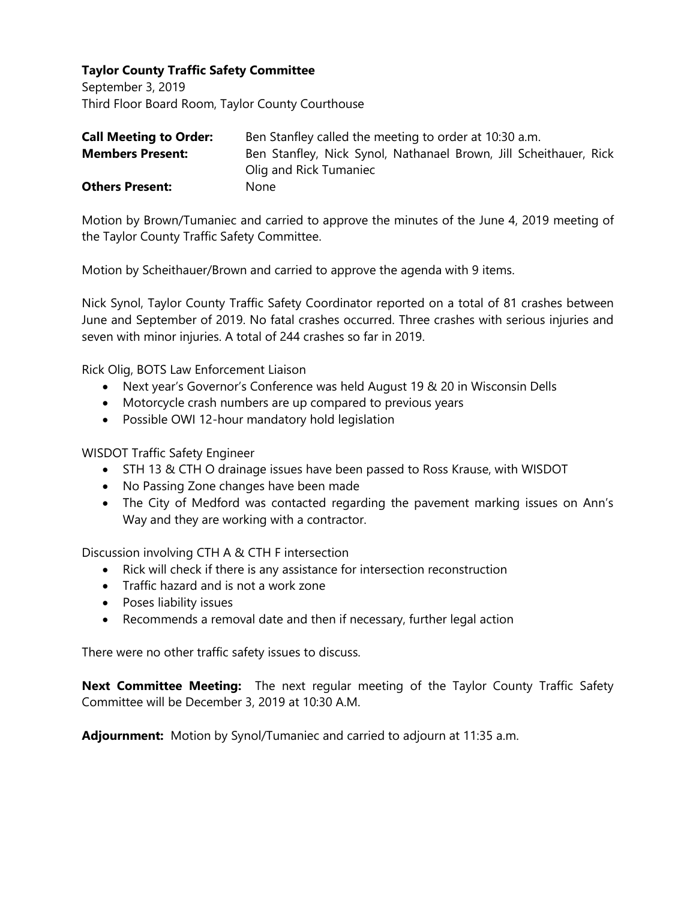September 3, 2019 Third Floor Board Room, Taylor County Courthouse

| <b>Call Meeting to Order:</b> | Ben Stanfley called the meeting to order at 10:30 a.m.            |
|-------------------------------|-------------------------------------------------------------------|
| <b>Members Present:</b>       | Ben Stanfley, Nick Synol, Nathanael Brown, Jill Scheithauer, Rick |
|                               | Olig and Rick Tumaniec                                            |
| <b>Others Present:</b>        | None                                                              |

Motion by Brown/Tumaniec and carried to approve the minutes of the June 4, 2019 meeting of the Taylor County Traffic Safety Committee.

Motion by Scheithauer/Brown and carried to approve the agenda with 9 items.

Nick Synol, Taylor County Traffic Safety Coordinator reported on a total of 81 crashes between June and September of 2019. No fatal crashes occurred. Three crashes with serious injuries and seven with minor injuries. A total of 244 crashes so far in 2019.

Rick Olig, BOTS Law Enforcement Liaison

- Next year's Governor's Conference was held August 19 & 20 in Wisconsin Dells
- Motorcycle crash numbers are up compared to previous years
- Possible OWI 12-hour mandatory hold legislation

WISDOT Traffic Safety Engineer

- STH 13 & CTH O drainage issues have been passed to Ross Krause, with WISDOT
- No Passing Zone changes have been made
- The City of Medford was contacted regarding the pavement marking issues on Ann's Way and they are working with a contractor.

Discussion involving CTH A & CTH F intersection

- Rick will check if there is any assistance for intersection reconstruction
- Traffic hazard and is not a work zone
- Poses liability issues
- Recommends a removal date and then if necessary, further legal action

There were no other traffic safety issues to discuss.

**Next Committee Meeting:** The next regular meeting of the Taylor County Traffic Safety Committee will be December 3, 2019 at 10:30 A.M.

**Adjournment:** Motion by Synol/Tumaniec and carried to adjourn at 11:35 a.m.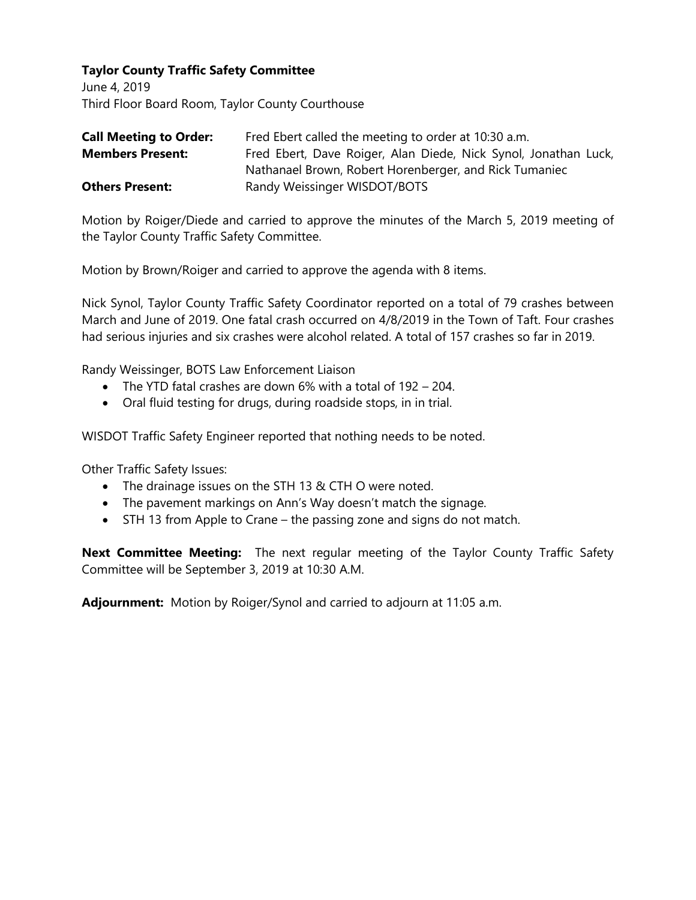June 4, 2019 Third Floor Board Room, Taylor County Courthouse

| <b>Call Meeting to Order:</b> | Fred Ebert called the meeting to order at 10:30 a.m.            |
|-------------------------------|-----------------------------------------------------------------|
| <b>Members Present:</b>       | Fred Ebert, Dave Roiger, Alan Diede, Nick Synol, Jonathan Luck, |
|                               | Nathanael Brown, Robert Horenberger, and Rick Tumaniec          |
| <b>Others Present:</b>        | Randy Weissinger WISDOT/BOTS                                    |

Motion by Roiger/Diede and carried to approve the minutes of the March 5, 2019 meeting of the Taylor County Traffic Safety Committee.

Motion by Brown/Roiger and carried to approve the agenda with 8 items.

Nick Synol, Taylor County Traffic Safety Coordinator reported on a total of 79 crashes between March and June of 2019. One fatal crash occurred on 4/8/2019 in the Town of Taft. Four crashes had serious injuries and six crashes were alcohol related. A total of 157 crashes so far in 2019.

Randy Weissinger, BOTS Law Enforcement Liaison

- The YTD fatal crashes are down 6% with a total of 192 204.
- Oral fluid testing for drugs, during roadside stops, in in trial.

WISDOT Traffic Safety Engineer reported that nothing needs to be noted.

Other Traffic Safety Issues:

- The drainage issues on the STH 13 & CTH O were noted.
- The pavement markings on Ann's Way doesn't match the signage.
- STH 13 from Apple to Crane the passing zone and signs do not match.

**Next Committee Meeting:** The next regular meeting of the Taylor County Traffic Safety Committee will be September 3, 2019 at 10:30 A.M.

**Adjournment:** Motion by Roiger/Synol and carried to adjourn at 11:05 a.m.